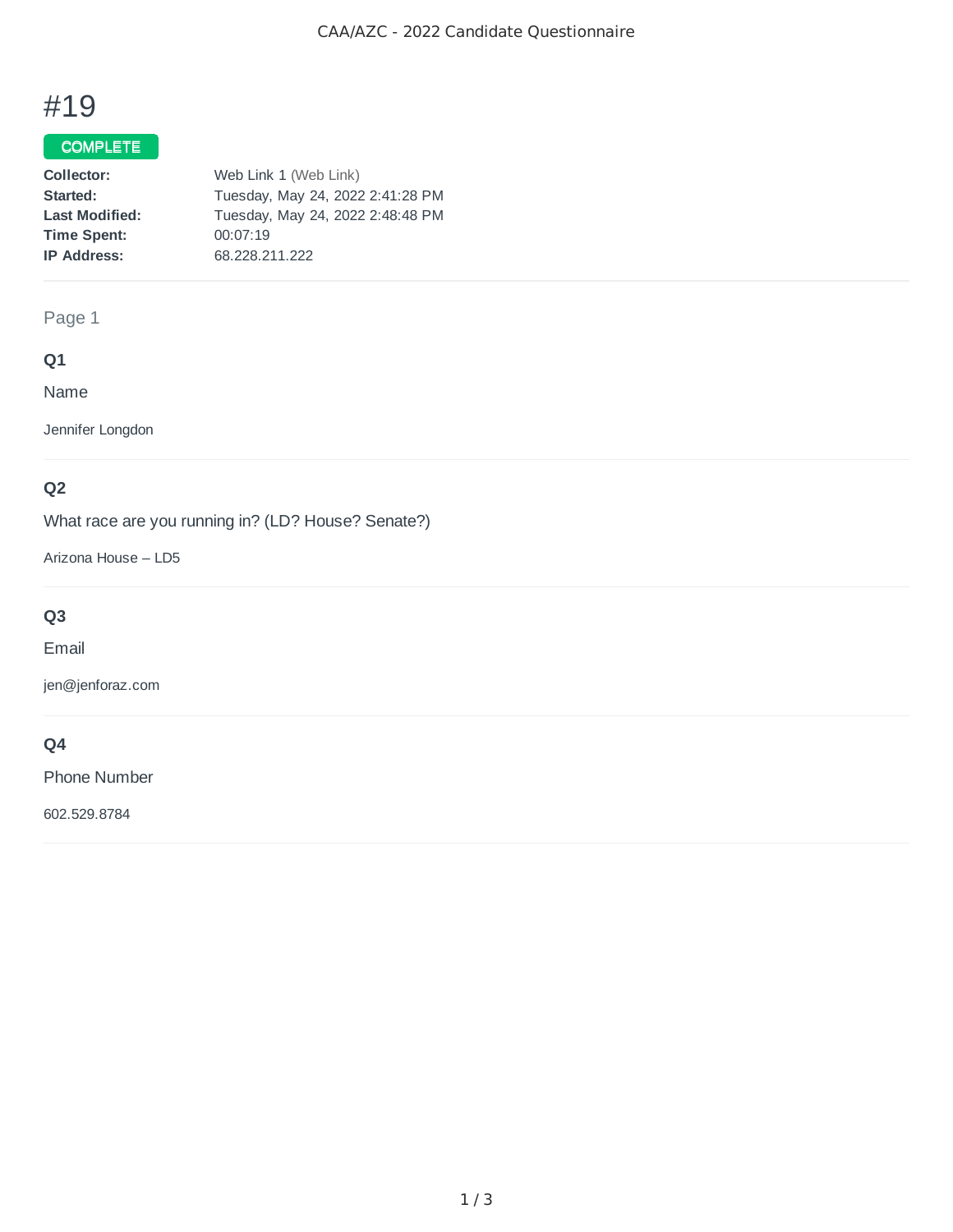# #19

## COMPLETE

| Collector:            | Web Link 1 (Web Link)            |
|-----------------------|----------------------------------|
| Started:              | Tuesday, May 24, 2022 2:41:28 PM |
| <b>Last Modified:</b> | Tuesday, May 24, 2022 2:48:48 PM |
| <b>Time Spent:</b>    | 00:07:19                         |
| <b>IP Address:</b>    | 68.228.211.222                   |

## Page 1

## **Q1**

Name

Jennifer Longdon

# **Q2**

What race are you running in? (LD? House? Senate?)

Arizona House – LD5

# **Q3**

Email

jen@jenforaz.com

# **Q4**

Phone Number

602.529.8784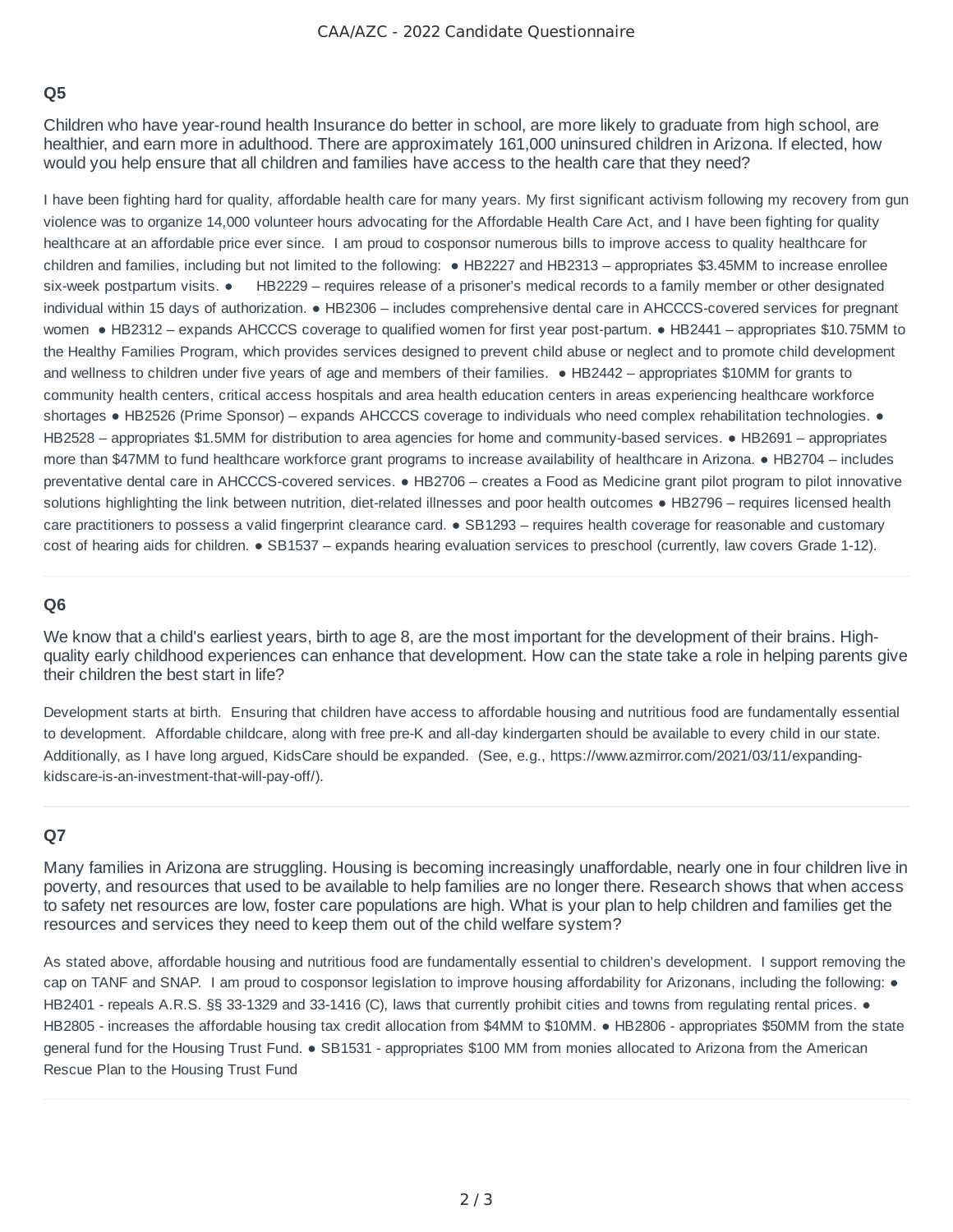## **Q5**

Children who have year-round health Insurance do better in school, are more likely to graduate from high school, are healthier, and earn more in adulthood. There are approximately 161,000 uninsured children in Arizona. If elected, how would you help ensure that all children and families have access to the health care that they need?

I have been fighting hard for quality, affordable health care for many years. My first significant activism following my recovery from gun violence was to organize 14,000 volunteer hours advocating for the Affordable Health Care Act, and I have been fighting for quality healthcare at an affordable price ever since. I am proud to cosponsor numerous bills to improve access to quality healthcare for children and families, including but not limited to the following: ● HB2227 and HB2313 – appropriates \$3.45MM to increase enrollee six-week postpartum visits. • HB2229 – requires release of a prisoner's medical records to a family member or other designated individual within 15 days of authorization. ● HB2306 – includes comprehensive dental care in AHCCCS-covered services for pregnant women • HB2312 – expands AHCCCS coverage to qualified women for first year post-partum. • HB2441 – appropriates \$10.75MM to the Healthy Families Program, which provides services designed to prevent child abuse or neglect and to promote child development and wellness to children under five years of age and members of their families. ● HB2442 – appropriates \$10MM for grants to community health centers, critical access hospitals and area health education centers in areas experiencing healthcare workforce shortages • HB2526 (Prime Sponsor) – expands AHCCCS coverage to individuals who need complex rehabilitation technologies. • HB2528 – appropriates \$1.5MM for distribution to area agencies for home and community-based services. ● HB2691 – appropriates more than \$47MM to fund healthcare workforce grant programs to increase availability of healthcare in Arizona. ● HB2704 – includes preventative dental care in AHCCCS-covered services. ● HB2706 – creates a Food as Medicine grant pilot program to pilot innovative solutions highlighting the link between nutrition, diet-related illnesses and poor health outcomes • HB2796 – requires licensed health care practitioners to possess a valid fingerprint clearance card. ● SB1293 – requires health coverage for reasonable and customary cost of hearing aids for children. ● SB1537 – expands hearing evaluation services to preschool (currently, law covers Grade 1-12).

#### **Q6**

We know that a child's earliest years, birth to age 8, are the most important for the development of their brains. Highquality early childhood experiences can enhance that development. How can the state take a role in helping parents give their children the best start in life?

Development starts at birth. Ensuring that children have access to affordable housing and nutritious food are fundamentally essential to development. Affordable childcare, along with free pre-K and all-day kindergarten should be available to every child in our state. Additionally, as I have long argued, KidsCare should be expanded. (See, e.g., https://www.azmirror.com/2021/03/11/expandingkidscare-is-an-investment-that-will-pay-off/).

## **Q7**

Many families in Arizona are struggling. Housing is becoming increasingly unaffordable, nearly one in four children live in poverty, and resources that used to be available to help families are no longer there. Research shows that when access to safety net resources are low, foster care populations are high. What is your plan to help children and families get the resources and services they need to keep them out of the child welfare system?

As stated above, affordable housing and nutritious food are fundamentally essential to children's development. I support removing the cap on TANF and SNAP. I am proud to cosponsor legislation to improve housing affordability for Arizonans, including the following: • HB2401 - repeals A.R.S. §§ 33-1329 and 33-1416 (C), laws that currently prohibit cities and towns from regulating rental prices. ● HB2805 - increases the affordable housing tax credit allocation from \$4MM to \$10MM. ● HB2806 - appropriates \$50MM from the state general fund for the Housing Trust Fund. ● SB1531 - appropriates \$100 MM from monies allocated to Arizona from the American Rescue Plan to the Housing Trust Fund